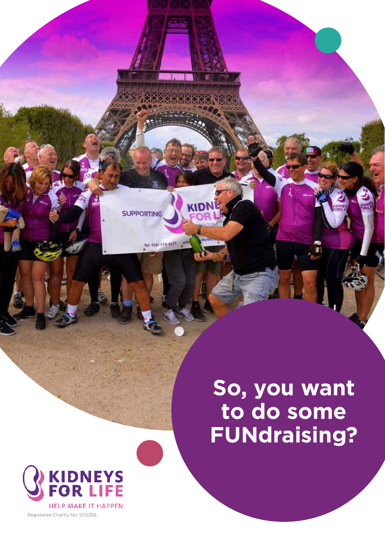SUPPORTING

Tel: 0161 276 6671

**KIDN** 

# **So, you want to do some FUNdraising?**

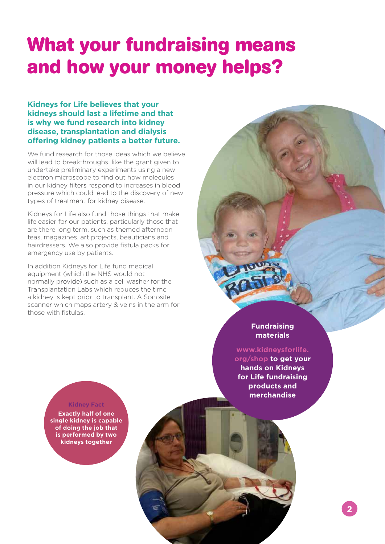## **What your fundraising means and how your money helps?**

**Kidneys for Life believes that your kidneys should last a lifetime and that is why we fund research into kidney disease, transplantation and dialysis offering kidney patients a better future.**

We fund research for those ideas which we believe will lead to breakthroughs, like the grant given to undertake preliminary experiments using a new electron microscope to find out how molecules in our kidney filters respond to increases in blood pressure which could lead to the discovery of new types of treatment for kidney disease.

Kidneys for Life also fund those things that make life easier for our patients, particularly those that are there long term, such as themed afternoon teas, magazines, art projects, beauticians and hairdressers. We also provide fistula packs for emergency use by patients.

In addition Kidneys for Life fund medical equipment (which the NHS would not normally provide) such as a cell washer for the Transplantation Labs which reduces the time a kidney is kept prior to transplant. A Sonosite scanner which maps artery & veins in the arm for those with fistulas.

#### **Fundraising materials**

**www.kidneysforlife. org/shop to get your hands on Kidneys for Life fundraising products and merchandise**

#### **Kidney Fact**

**Exactly half of one single kidney is capable of doing the job that is performed by two kidneys together**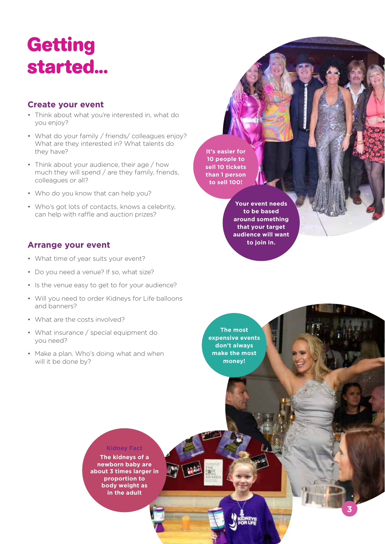## **Getting started...**

#### **Create your event**

- Think about what you're interested in, what do you enjoy?
- What do your family / friends/ colleagues enjoy? What are they interested in? What talents do they have?
- Think about your audience, their age / how much they will spend / are they family, friends, colleagues or all?
- Who do you know that can help you?
- Who's got lots of contacts, knows a celebrity, can help with raffle and auction prizes?

### **Arrange your event**

- What time of year suits your event?
- Do you need a venue? If so, what size?
- Is the venue easy to get to for your audience?
- Will you need to order Kidneys for Life balloons and banners?
- What are the costs involved?
- What insurance / special equipment do you need?
- Make a plan. Who's doing what and when will it be done by?

**It's easier for 10 people to sell 10 tickets than 1 person to sell 100!**

> **Your event needs to be based around something that your target audience will want to join in.**

**The most expensive events don't always make the most money!**

**Kidney Fact The kidneys of a newborn baby are about 3 times larger in proportion to body weight as in the adult**

**3**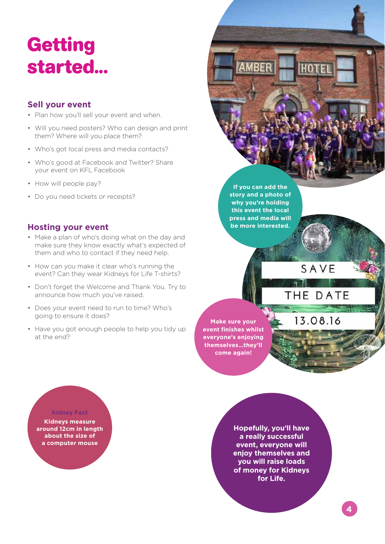## **Getting started...**

### **Sell your event**

- Plan how you'll sell your event and when.
- Will you need posters? Who can design and print them? Where will you place them?
- Who's got local press and media contacts?
- Who's good at Facebook and Twitter? Share your event on KFL Facebook
- How will people pay?
- Do you need tickets or receipts?

#### **Hosting your event**

- Make a plan of who's doing what on the day and make sure they know exactly what's expected of them and who to contact if they need help.
- How can you make it clear who's running the event? Can they wear Kidneys for Life T-shirts?
- Don't forget the Welcome and Thank You. Try to announce how much you've raised.
- Does your event need to run to time? Who's going to ensure it does?
- Have you got enough people to help you tidy up at the end?

**If you can add the story and a photo of why you're holding this event the local press and media will be more interested.**

SAVE

THE DATE

13.08.16

**Make sure your event finishes whilst everyone's enjoying themselves…they'll come again!**

**Kidney Fact**

**Kidneys measure around 12cm in length about the size of a computer mouse**

**Hopefully, you'll have a really successful event, everyone will enjoy themselves and you will raise loads of money for Kidneys for Life.**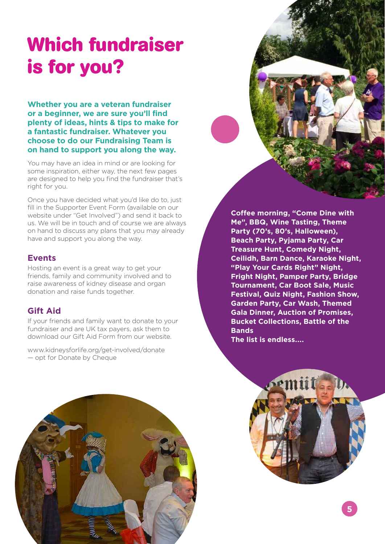## **Which fundraiser is for you?**

**Whether you are a veteran fundraiser or a beginner, we are sure you'll find plenty of ideas, hints & tips to make for a fantastic fundraiser. Whatever you choose to do our Fundraising Team is on hand to support you along the way.**

You may have an idea in mind or are looking for some inspiration, either way, the next few pages are designed to help you find the fundraiser that's right for you.

Once you have decided what you'd like do to, just fill in the Supporter Event Form (available on our website under "Get Involved") and send it back to us. We will be in touch and of course we are always on hand to discuss any plans that you may already have and support you along the way.

#### **Events**

Hosting an event is a great way to get your friends, family and community involved and to raise awareness of kidney disease and organ donation and raise funds together.

#### **Gift Aid**

If your friends and family want to donate to your fundraiser and are UK tax payers, ask them to download our Gift Aid Form from our website.

www.kidneysforlife.org/get-involved/donate — opt for Donate by Cheque



**Coffee morning, "Come Dine with Me", BBQ, Wine Tasting, Theme Party (70's, 80's, Halloween), Beach Party, Pyjama Party, Car Treasure Hunt, Comedy Night, Ceilidh, Barn Dance, Karaoke Night, "Play Your Cards Right" Night, Fright Night, Pamper Party, Bridge Tournament, Car Boot Sale, Music Festival, Quiz Night, Fashion Show, Garden Party, Car Wash, Themed Gala Dinner, Auction of Promises, Bucket Collections, Battle of the Bands The list is endless....**



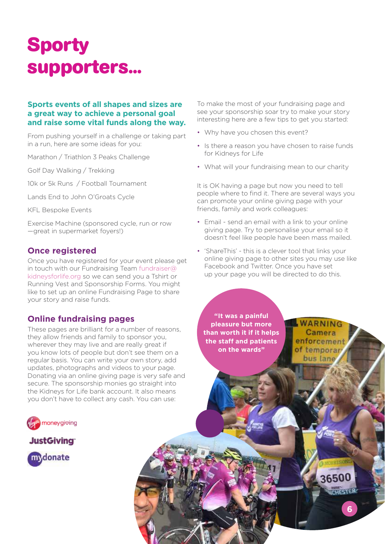## **Sporty supporters...**

#### **Sports events of all shapes and sizes are a great way to achieve a personal goal and raise some vital funds along the way.**

From pushing yourself in a challenge or taking part in a run, here are some ideas for you:

Marathon / Triathlon 3 Peaks Challenge

Golf Day Walking / Trekking

10k or 5k Runs / Football Tournament

Lands End to John O'Groats Cycle

KFL Bespoke Events

Exercise Machine (sponsored cycle, run or row —great in supermarket foyers!)

#### **Once registered**

Once you have registered for your event please get in touch with our Fundraising Team fundraiser $\circledcirc$ kidneysforlife.org so we can send you a Tshirt or Running Vest and Sponsorship Forms. You might like to set up an online Fundraising Page to share your story and raise funds.

#### **Online fundraising pages**

These pages are brilliant for a number of reasons, they allow friends and family to sponsor you, wherever they may live and are really great if you know lots of people but don't see them on a regular basis. You can write your own story, add updates, photographs and videos to your page. Donating via an online giving page is very safe and secure. The sponsorship monies go straight into the Kidneys for Life bank account. It also means you don't have to collect any cash. You can use:



To make the most of your fundraising page and see your sponsorship soar try to make your story interesting here are a few tips to get you started:

- Why have you chosen this event?
- Is there a reason you have chosen to raise funds for Kidneys for Life
- What will your fundraising mean to our charity

It is OK having a page but now you need to tell people where to find it. There are several ways you can promote your online giving page with your friends, family and work colleagues:

- Email send an email with a link to your online giving page. Try to personalise your email so it doesn't feel like people have been mass mailed.
- 'ShareThis' this is a clever tool that links your online giving page to other sites you may use like Facebook and Twitter. Once you have set up your page you will be directed to do this.

**"It was a painful pleasure but more than worth it if it helps the staff and patients on the wards"**

**WARNING** Camera enforcement of temporar bus lane

36500

**6**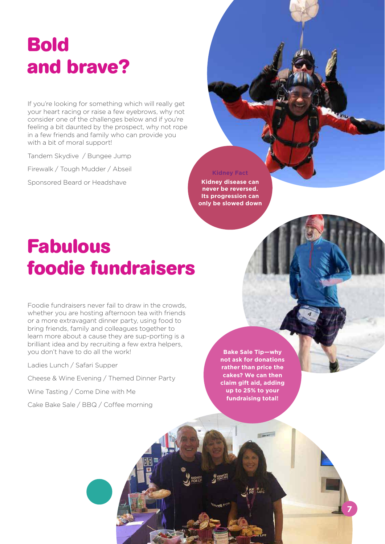## **Bold and brave?**

If you're looking for something which will really get your heart racing or raise a few eyebrows, why not consider one of the challenges below and if you're feeling a bit daunted by the prospect, why not rope in a few friends and family who can provide you with a bit of moral support!

Tandem Skydive / Bungee Jump

Firewalk / Tough Mudder / Abseil

Sponsored Beard or Headshave

#### **Kidney Fact**

**Kidney disease can never be reversed. Its progression can only be slowed down**

## **Fabulous foodie fundraisers**

Foodie fundraisers never fail to draw in the crowds, whether you are hosting afternoon tea with friends or a more extravagant dinner party, using food to bring friends, family and colleagues together to learn more about a cause they are sup-porting is a brilliant idea and by recruiting a few extra helpers, you don't have to do all the work!

Ladies Lunch / Safari Supper

Cheese & Wine Evening / Themed Dinner Party

Wine Tasting / Come Dine with Me

Cake Bake Sale / BBQ / Coffee morning

**Bake Sale Tip—why not ask for donations rather than price the cakes? We can then claim gift aid, adding up to 25% to your fundraising total!**

**7**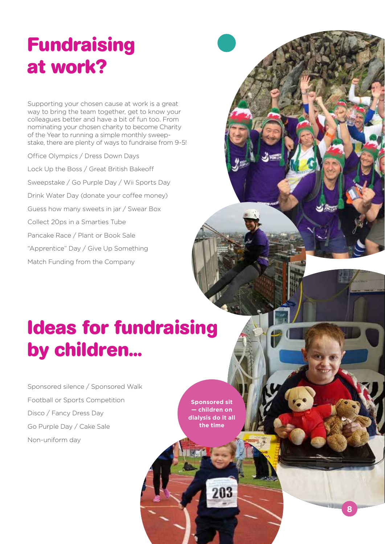## **Fundraising at work?**

Supporting your chosen cause at work is a great way to bring the team together, get to know your colleagues better and have a bit of fun too. From nominating your chosen charity to become Charity of the Year to running a simple monthly sweepstake, there are plenty of ways to fundraise from 9-5!

Office Olympics / Dress Down Days Lock Up the Boss / Great British Bakeoff Sweepstake / Go Purple Day / Wii Sports Day Drink Water Day (donate your coffee money) Guess how many sweets in jar / Swear Box Collect 20ps in a Smarties Tube Pancake Race / Plant or Book Sale "Apprentice" Day / Give Up Something Match Funding from the Company

## **Ideas for fundraising by children...**

Sponsored silence / Sponsored Walk Football or Sports Competition Disco / Fancy Dress Day Go Purple Day / Cake Sale Non-uniform day

**Sponsored sit — children on dialysis do it all the time**

203

**8**

**المنظم المحل**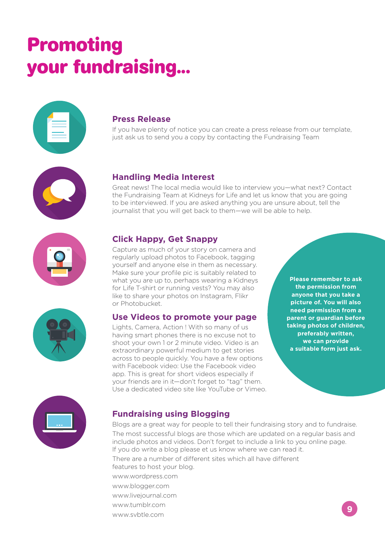## **Promoting your fundraising...**



### **Press Release**

If you have plenty of notice you can create a press release from our template, just ask us to send you a copy by contacting the Fundraising Team



### **Handling Media Interest**

Great news! The local media would like to interview you—what next? Contact the Fundraising Team at Kidneys for Life and let us know that you are going to be interviewed. If you are asked anything you are unsure about, tell the journalist that you will get back to them—we will be able to help.



### **Click Happy, Get Snappy**

Capture as much of your story on camera and regularly upload photos to Facebook, tagging yourself and anyone else in them as necessary. Make sure your profile pic is suitably related to what you are up to, perhaps wearing a Kidneys for Life T-shirt or running vests? You may also like to share your photos on Instagram, Flikr or Photobucket.

### **Use Videos to promote your page**

Lights, Camera, Action ! With so many of us having smart phones there is no excuse not to shoot your own 1 or 2 minute video. Video is an extraordinary powerful medium to get stories across to people quickly. You have a few options with Facebook video: Use the Facebook video app. This is great for short videos especially if your friends are in it—don't forget to "tag" them. Use a dedicated video site like YouTube or Vimeo.

**Please remember to ask the permission from anyone that you take a picture of. You will also need permission from a parent or guardian before taking photos of children, preferably written, we can provide a suitable form just ask.**



### **Fundraising using Blogging**

Blogs are a great way for people to tell their fundraising story and to fundraise. The most successful blogs are those which are updated on a regular basis and include photos and videos. Don't forget to include a link to you online page. If you do write a blog please et us know where we can read it.

There are a number of different sites which all have different features to host your blog. www.wordpress.com www.blogger.com www.livejournal.com www.tumblr.com

www.svbtle.com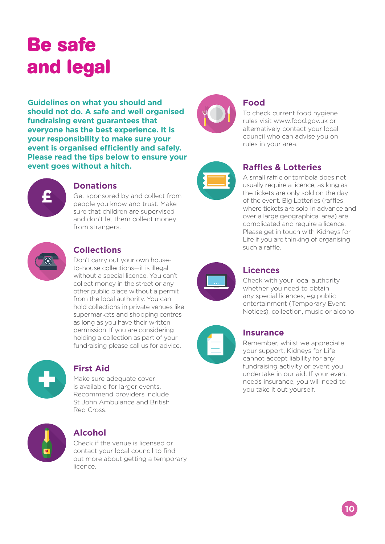# **Be safe and legal**

**Guidelines on what you should and should not do. A safe and well organised fundraising event guarantees that everyone has the best experience. It is your responsibility to make sure your event is organised efficiently and safely. Please read the tips below to ensure your event goes without a hitch.**



### **Donations**

Get sponsored by and collect from people you know and trust. Make sure that children are supervised and don't let them collect money from strangers.



### **Collections**

Don't carry out your own houseto-house collections—it is illegal without a special licence. You can't collect money in the street or any other public place without a permit from the local authority. You can hold collections in private venues like supermarkets and shopping centres as long as you have their written permission. If you are considering holding a collection as part of your fundraising please call us for advice.



### **First Aid**

Make sure adequate cover is available for larger events. Recommend providers include St John Ambulance and British Red Cross.



### **Alcohol**

Check if the venue is licensed or contact your local council to find out more about getting a temporary licence.



### **Food**

To check current food hygiene rules visit www.food.gov.uk or alternatively contact your local council who can advise you on rules in your area.



### **Raffles & Lotteries**

A small raffle or tombola does not usually require a licence, as long as the tickets are only sold on the day of the event. Big Lotteries (raffles where tickets are sold in advance and over a large geographical area) are complicated and require a licence. Please get in touch with Kidneys for Life if you are thinking of organising such a raffle.



### **Licences**

Check with your local authority whether you need to obtain any special licences, eg public entertainment (Temporary Event Notices), collection, music or alcohol

### **Insurance**

Remember, whilst we appreciate your support, Kidneys for Life cannot accept liability for any fundraising activity or event you undertake in our aid. If your event needs insurance, you will need to you take it out yourself.

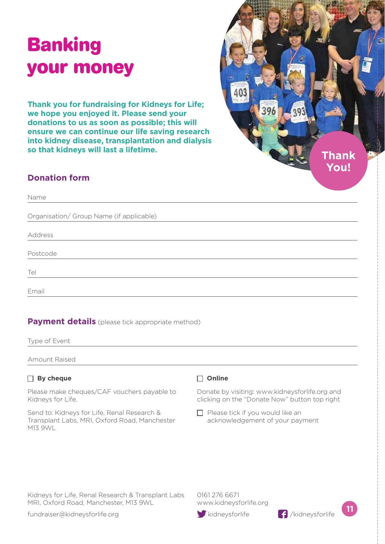## **Banking your money**

**Thank you for fundraising for Kidneys for Life; we hope you enjoyed it. Please send your donations to us as soon as possible; this will ensure we can continue our life saving research into kidney disease, transplantation and dialysis so that kidneys will last a lifetime.**



### **Donation form**

Name

Organisation/ Group Name (if applicable)

Address

Postcode

Tel

Email

**Payment details** (please tick appropriate method)

Type of Event

Amount Raised

#### **By cheque**

Please make cheques/CAF vouchers payable to Kidneys for Life.

Send to: Kidneys for Life, Renal Research & Transplant Labs, MRI, Oxford Road, Manchester M13 9WL

#### **Online**

Donate by visiting: www.kidneysforlife.org and clicking on the "Donate Now" button top right

 $\Box$  Please tick if you would like an acknowledgement of your payment

Kidneys for Life, Renal Research & Transplant Labs MRI, Oxford Road, Manchester, M13 9WL

fundraiser@kidneysforlife.org

0161 276 6671 www.kidneysforlife.org